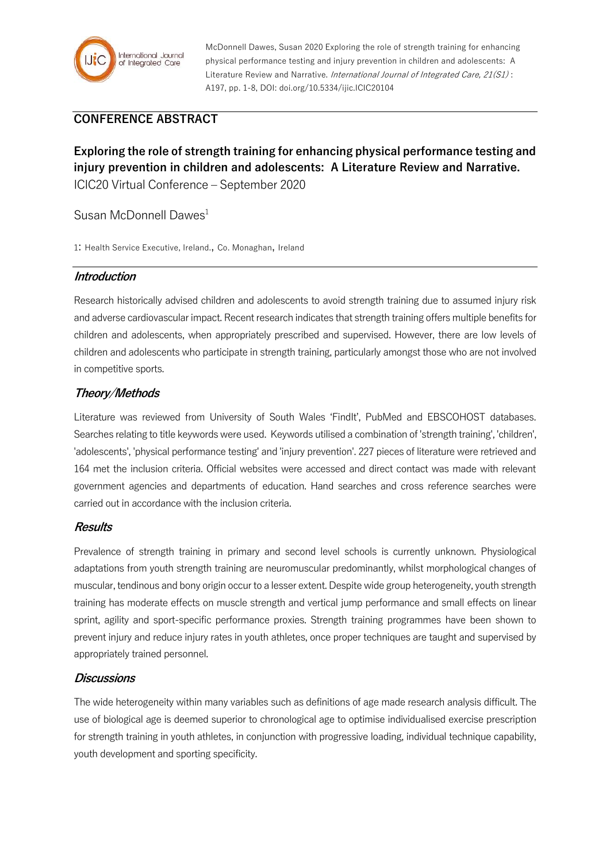

McDonnell Dawes, Susan 2020 Exploring the role of strength training for enhancing physical performance testing and injury prevention in children and adolescents: A Literature Review and Narrative. International Journal of Integrated Care, 21(S1): A197, pp. 1-8, DOI: doi.org/10.5334/ijic.ICIC20104

# **CONFERENCE ABSTRACT**

**Exploring the role of strength training for enhancing physical performance testing and injury prevention in children and adolescents: A Literature Review and Narrative.** ICIC20 Virtual Conference – September 2020

## Susan McDonnell Dawes<sup>1</sup>

1: Health Service Executive, Ireland., Co. Monaghan, Ireland

## **Introduction**

Research historically advised children and adolescents to avoid strength training due to assumed injury risk and adverse cardiovascular impact. Recent research indicates that strength training offers multiple benefits for children and adolescents, when appropriately prescribed and supervised. However, there are low levels of children and adolescents who participate in strength training, particularly amongst those who are not involved in competitive sports.

## **Theory/Methods**

Literature was reviewed from University of South Wales 'FindIt', PubMed and EBSCOHOST databases. Searches relating to title keywords were used. Keywords utilised a combination of 'strength training', 'children', 'adolescents', 'physical performance testing' and 'injury prevention'. 227 pieces of literature were retrieved and 164 met the inclusion criteria. Official websites were accessed and direct contact was made with relevant government agencies and departments of education. Hand searches and cross reference searches were carried out in accordance with the inclusion criteria.

#### **Results**

Prevalence of strength training in primary and second level schools is currently unknown. Physiological adaptations from youth strength training are neuromuscular predominantly, whilst morphological changes of muscular, tendinous and bony origin occur to a lesser extent. Despite wide group heterogeneity, youth strength training has moderate effects on muscle strength and vertical jump performance and small effects on linear sprint, agility and sport-specific performance proxies. Strength training programmes have been shown to prevent injury and reduce injury rates in youth athletes, once proper techniques are taught and supervised by appropriately trained personnel.

#### **Discussions**

The wide heterogeneity within many variables such as definitions of age made research analysis difficult. The use of biological age is deemed superior to chronological age to optimise individualised exercise prescription for strength training in youth athletes, in conjunction with progressive loading, individual technique capability, youth development and sporting specificity.